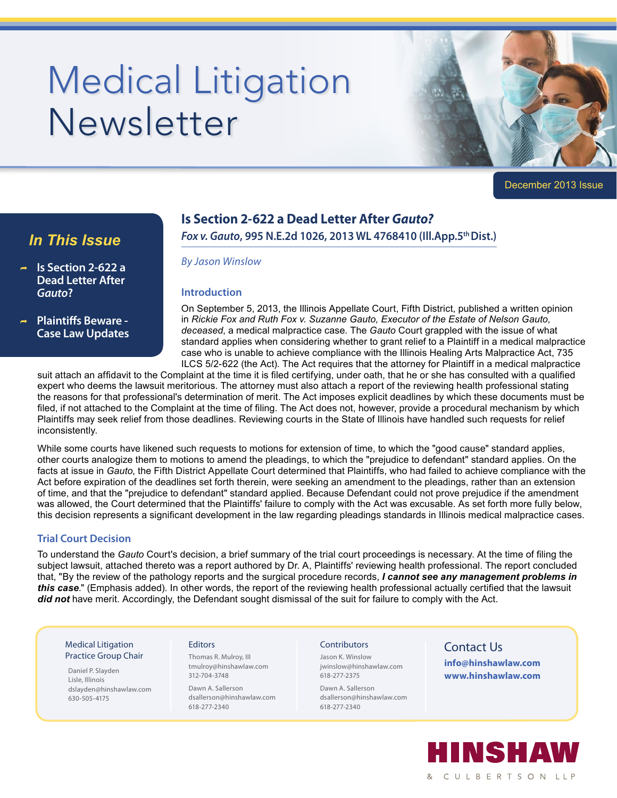# Medical Litigation Newsletter



December 2013 Issue

# **Is Section 2-622 a Dead Letter After** *Gauto?*

# *In This Issue*

- ® **Is Section 2-622 a Dead Letter After**  *Gauto***?**
- ® **Plaintiffs Beware Case Law Updates**

## *Fox v. Gauto***, 995 N.E.2d 1026, 2013 WL 4768410 (Ill.App.5th Dist.)**

#### *By Jason Winslow*

#### **Introduction**

On September 5, 2013, the Illinois Appellate Court, Fifth District, published a written opinion in *Rickie Fox and Ruth Fox v. Suzanne Gauto, Executor of the Estate of Nelson Gauto, deceased*, a medical malpractice case. The *Gauto* Court grappled with the issue of what standard applies when considering whether to grant relief to a Plaintiff in a medical malpractice case who is unable to achieve compliance with the Illinois Healing Arts Malpractice Act, 735 ILCS 5/2-622 (the Act). The Act requires that the attorney for Plaintiff in a medical malpractice

suit attach an affidavit to the Complaint at the time it is filed certifying, under oath, that he or she has consulted with a qualified expert who deems the lawsuit meritorious. The attorney must also attach a report of the reviewing health professional stating the reasons for that professional's determination of merit. The Act imposes explicit deadlines by which these documents must be filed, if not attached to the Complaint at the time of filing. The Act does not, however, provide a procedural mechanism by which Plaintiffs may seek relief from those deadlines. Reviewing courts in the State of Illinois have handled such requests for relief inconsistently.

While some courts have likened such requests to motions for extension of time, to which the "good cause" standard applies, other courts analogize them to motions to amend the pleadings, to which the "prejudice to defendant" standard applies. On the facts at issue in *Gauto*, the Fifth District Appellate Court determined that Plaintiffs, who had failed to achieve compliance with the Act before expiration of the deadlines set forth therein, were seeking an amendment to the pleadings, rather than an extension of time, and that the "prejudice to defendant" standard applied. Because Defendant could not prove prejudice if the amendment was allowed, the Court determined that the Plaintiffs' failure to comply with the Act was excusable. As set forth more fully below, this decision represents a significant development in the law regarding pleadings standards in Illinois medical malpractice cases.

#### **Trial Court Decision**

To understand the *Gauto* Court's decision, a brief summary of the trial court proceedings is necessary. At the time of filing the subject lawsuit, attached thereto was a report authored by Dr. A, Plaintiffs' reviewing health professional. The report concluded that, "By the review of the pathology reports and the surgical procedure records, *I cannot see any management problems in this case*." (Emphasis added). In other words, the report of the reviewing health professional actually certified that the lawsuit *did not* have merit. Accordingly, the Defendant sought dismissal of the suit for failure to comply with the Act.

#### Medical Litigation Practice Group Chair

Daniel P. Slayden Lisle, Illinois dslayden@hinshawlaw.com 630-505-4175

#### **Editors**

Thomas R. Mulroy, III tmulroy@hinshawlaw.com 312-704-3748

Dawn A. Sallerson dsallerson@hinshawlaw.com 618-277-2340

#### **Contributors**

Jason K. Winslow jwinslow@hinshawlaw.com 618-277-2375

Dawn A. Sallerson dsallerson@hinshawlaw.com 618-277-2340

# Contact Us

**info@hinshawlaw.com www.hinshawlaw.com**

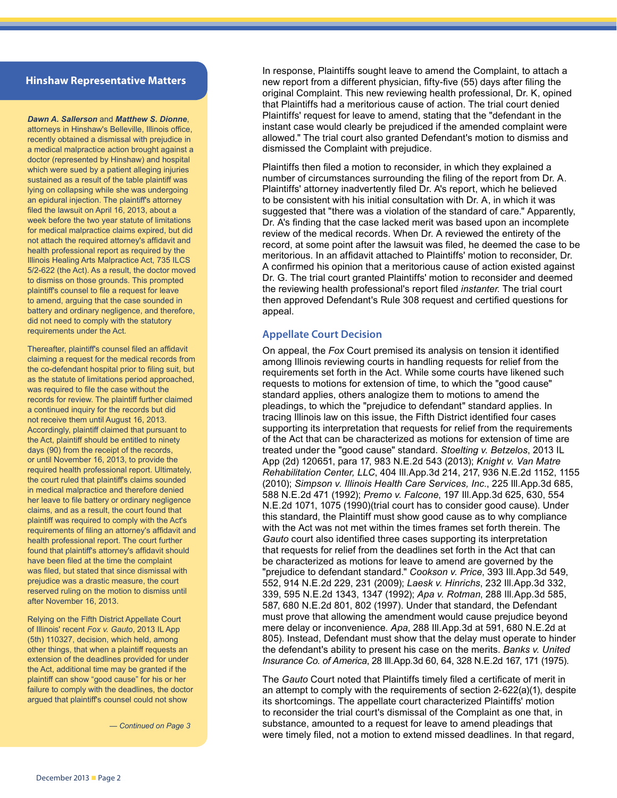#### **Hinshaw Representative Matters**

*Dawn A. Sallerson* and *Matthew S. Dionne*, attorneys in Hinshaw's Belleville, Illinois office, recently obtained a dismissal with prejudice in a medical malpractice action brought against a doctor (represented by Hinshaw) and hospital which were sued by a patient alleging injuries sustained as a result of the table plaintiff was lying on collapsing while she was undergoing an epidural injection. The plaintiff's attorney filed the lawsuit on April 16, 2013, about a week before the two year statute of limitations for medical malpractice claims expired, but did not attach the required attorney's affidavit and health professional report as required by the Illinois Healing Arts Malpractice Act, 735 ILCS 5/2-622 (the Act). As a result, the doctor moved to dismiss on those grounds. This prompted plaintiff's counsel to file a request for leave to amend, arguing that the case sounded in battery and ordinary negligence, and therefore, did not need to comply with the statutory requirements under the Act.

Thereafter, plaintiff's counsel filed an affidavit claiming a request for the medical records from the co-defendant hospital prior to filing suit, but as the statute of limitations period approached, was required to file the case without the records for review. The plaintiff further claimed a continued inquiry for the records but did not receive them until August 16, 2013. Accordingly, plaintiff claimed that pursuant to the Act, plaintiff should be entitled to ninety days (90) from the receipt of the records, or until November 16, 2013, to provide the required health professional report. Ultimately, the court ruled that plaintiff's claims sounded in medical malpractice and therefore denied her leave to file battery or ordinary negligence claims, and as a result, the court found that plaintiff was required to comply with the Act's requirements of filing an attorney's affidavit and health professional report. The court further found that plaintiff's attorney's affidavit should have been filed at the time the complaint was filed, but stated that since dismissal with prejudice was a drastic measure, the court reserved ruling on the motion to dismiss until after November 16, 2013.

Relying on the Fifth District Appellate Court of Illinois' recent *Fox v. Gauto*, 2013 IL App (5th) 110327, decision, which held, among other things, that when a plaintiff requests an extension of the deadlines provided for under the Act, additional time may be granted if the plaintiff can show "good cause" for his or her failure to comply with the deadlines, the doctor argued that plaintiff's counsel could not show

*— Continued on Page 3*

In response, Plaintiffs sought leave to amend the Complaint, to attach a new report from a different physician, fifty-five (55) days after filing the original Complaint. This new reviewing health professional, Dr. K, opined that Plaintiffs had a meritorious cause of action. The trial court denied Plaintiffs' request for leave to amend, stating that the "defendant in the instant case would clearly be prejudiced if the amended complaint were allowed." The trial court also granted Defendant's motion to dismiss and dismissed the Complaint with prejudice.

Plaintiffs then filed a motion to reconsider, in which they explained a number of circumstances surrounding the filing of the report from Dr. A. Plaintiffs' attorney inadvertently filed Dr. A's report, which he believed to be consistent with his initial consultation with Dr. A, in which it was suggested that "there was a violation of the standard of care." Apparently, Dr. A's finding that the case lacked merit was based upon an incomplete review of the medical records. When Dr. A reviewed the entirety of the record, at some point after the lawsuit was filed, he deemed the case to be meritorious. In an affidavit attached to Plaintiffs' motion to reconsider, Dr. A confirmed his opinion that a meritorious cause of action existed against Dr. G. The trial court granted Plaintiffs' motion to reconsider and deemed the reviewing health professional's report filed *instanter*. The trial court then approved Defendant's Rule 308 request and certified questions for appeal.

#### **Appellate Court Decision**

On appeal, the *Fox* Court premised its analysis on tension it identified among Illinois reviewing courts in handling requests for relief from the requirements set forth in the Act. While some courts have likened such requests to motions for extension of time, to which the "good cause" standard applies, others analogize them to motions to amend the pleadings, to which the "prejudice to defendant" standard applies. In tracing Illinois law on this issue, the Fifth District identified four cases supporting its interpretation that requests for relief from the requirements of the Act that can be characterized as motions for extension of time are treated under the "good cause" standard. *Stoelting v. Betzelos*, 2013 IL App (2d) 120651, para 17, 983 N.E.2d 543 (2013); *Knight v. Van Matre Rehabilitation Center, LLC*, 404 Ill.App.3d 214, 217, 936 N.E.2d 1152, 1155 (2010); *Simpson v. Illinois Health Care Services, Inc.*, 225 Ill.App.3d 685, 588 N.E.2d 471 (1992); *Premo v. Falcone*, 197 Ill.App.3d 625, 630, 554 N.E.2d 1071, 1075 (1990)(trial court has to consider good cause). Under this standard, the Plaintiff must show good cause as to why compliance with the Act was not met within the times frames set forth therein. The *Gauto* court also identified three cases supporting its interpretation that requests for relief from the deadlines set forth in the Act that can be characterized as motions for leave to amend are governed by the "prejudice to defendant standard." *Cookson v. Price*, 393 Ill.App.3d 549, 552, 914 N.E.2d 229, 231 (2009); *Laesk v. Hinrichs*, 232 Ill.App.3d 332, 339, 595 N.E.2d 1343, 1347 (1992); *Apa v. Rotman*, 288 Ill.App.3d 585, 587, 680 N.E.2d 801, 802 (1997). Under that standard, the Defendant must prove that allowing the amendment would cause prejudice beyond mere delay or inconvenience. *Apa*, 288 Ill.App.3d at 591, 680 N.E.2d at 805). Instead, Defendant must show that the delay must operate to hinder the defendant's ability to present his case on the merits. *Banks v. United Insurance Co. of America*, 28 Ill.App.3d 60, 64, 328 N.E.2d 167, 171 (1975).

The *Gauto* Court noted that Plaintiffs timely filed a certificate of merit in an attempt to comply with the requirements of section 2-622(a)(1), despite its shortcomings. The appellate court characterized Plaintiffs' motion to reconsider the trial court's dismissal of the Complaint as one that, in substance, amounted to a request for leave to amend pleadings that were timely filed, not a motion to extend missed deadlines. In that regard,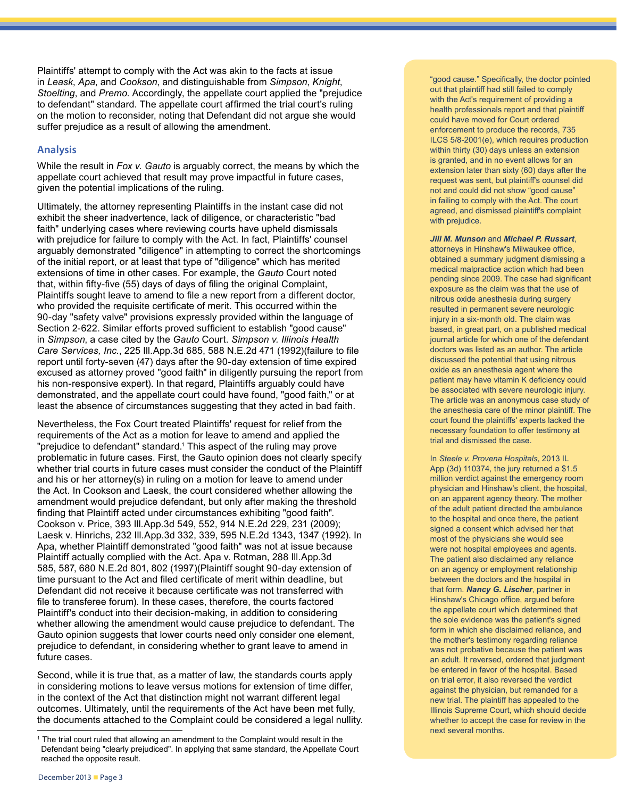Plaintiffs' attempt to comply with the Act was akin to the facts at issue in *Leask*, *Apa*, and *Cookson*, and distinguishable from *Simpson*, *Knight*, *Stoelting*, and *Premo*. Accordingly, the appellate court applied the "prejudice to defendant" standard. The appellate court affirmed the trial court's ruling on the motion to reconsider, noting that Defendant did not argue she would suffer prejudice as a result of allowing the amendment.

#### **Analysis**

While the result in *Fox v. Gauto* is arguably correct, the means by which the appellate court achieved that result may prove impactful in future cases, given the potential implications of the ruling.

Ultimately, the attorney representing Plaintiffs in the instant case did not exhibit the sheer inadvertence, lack of diligence, or characteristic "bad faith" underlying cases where reviewing courts have upheld dismissals with prejudice for failure to comply with the Act. In fact, Plaintiffs' counsel arguably demonstrated "diligence" in attempting to correct the shortcomings of the initial report, or at least that type of "diligence" which has merited extensions of time in other cases. For example, the *Gauto* Court noted that, within fifty-five (55) days of days of filing the original Complaint, Plaintiffs sought leave to amend to file a new report from a different doctor, who provided the requisite certificate of merit. This occurred within the 90-day "safety valve" provisions expressly provided within the language of Section 2-622. Similar efforts proved sufficient to establish "good cause" in *Simpson*, a case cited by the *Gauto* Court. *Simpson v. Illinois Health Care Services, Inc.*, 225 Ill.App.3d 685, 588 N.E.2d 471 (1992)(failure to file report until forty-seven (47) days after the 90-day extension of time expired excused as attorney proved "good faith" in diligently pursuing the report from his non-responsive expert). In that regard, Plaintiffs arguably could have demonstrated, and the appellate court could have found, "good faith," or at least the absence of circumstances suggesting that they acted in bad faith.

Nevertheless, the Fox Court treated Plaintiffs' request for relief from the requirements of the Act as a motion for leave to amend and applied the "prejudice to defendant" standard.<sup>1</sup> This aspect of the ruling may prove problematic in future cases. First, the Gauto opinion does not clearly specify whether trial courts in future cases must consider the conduct of the Plaintiff and his or her attorney(s) in ruling on a motion for leave to amend under the Act. In Cookson and Laesk, the court considered whether allowing the amendment would prejudice defendant, but only after making the threshold finding that Plaintiff acted under circumstances exhibiting "good faith". Cookson v. Price, 393 Ill.App.3d 549, 552, 914 N.E.2d 229, 231 (2009); Laesk v. Hinrichs, 232 Ill.App.3d 332, 339, 595 N.E.2d 1343, 1347 (1992). In Apa, whether Plaintiff demonstrated "good faith" was not at issue because Plaintiff actually complied with the Act. Apa v. Rotman, 288 Ill.App.3d 585, 587, 680 N.E.2d 801, 802 (1997)(Plaintiff sought 90-day extension of time pursuant to the Act and filed certificate of merit within deadline, but Defendant did not receive it because certificate was not transferred with file to transferee forum). In these cases, therefore, the courts factored Plaintiff's conduct into their decision-making, in addition to considering whether allowing the amendment would cause prejudice to defendant. The Gauto opinion suggests that lower courts need only consider one element, prejudice to defendant, in considering whether to grant leave to amend in future cases.

Second, while it is true that, as a matter of law, the standards courts apply in considering motions to leave versus motions for extension of time differ, in the context of the Act that distinction might not warrant different legal outcomes. Ultimately, until the requirements of the Act have been met fully, the documents attached to the Complaint could be considered a legal nullity. "good cause." Specifically, the doctor pointed out that plaintiff had still failed to comply with the Act's requirement of providing a health professionals report and that plaintiff could have moved for Court ordered enforcement to produce the records, 735 ILCS 5/8-2001(e), which requires production within thirty (30) days unless an extension is granted, and in no event allows for an extension later than sixty (60) days after the request was sent, but plaintiff's counsel did not and could did not show "good cause" in failing to comply with the Act. The court agreed, and dismissed plaintiff's complaint with prejudice.

#### *Jill M. Munson* and *Michael P. Russart*,

attorneys in Hinshaw's Milwaukee office, obtained a summary judgment dismissing a medical malpractice action which had been pending since 2009. The case had significant exposure as the claim was that the use of nitrous oxide anesthesia during surgery resulted in permanent severe neurologic injury in a six-month old. The claim was based, in great part, on a published medical journal article for which one of the defendant doctors was listed as an author. The article discussed the potential that using nitrous oxide as an anesthesia agent where the patient may have vitamin K deficiency could be associated with severe neurologic injury. The article was an anonymous case study of the anesthesia care of the minor plaintiff. The court found the plaintiffs' experts lacked the necessary foundation to offer testimony at trial and dismissed the case.

#### In *Steele v. Provena Hospitals*, 2013 IL

App (3d) 110374, the jury returned a \$1.5 million verdict against the emergency room physician and Hinshaw's client, the hospital, on an apparent agency theory. The mother of the adult patient directed the ambulance to the hospital and once there, the patient signed a consent which advised her that most of the physicians she would see were not hospital employees and agents. The patient also disclaimed any reliance on an agency or employment relationship between the doctors and the hospital in that form. *Nancy G. Lischer*, partner in Hinshaw's Chicago office, argued before the appellate court which determined that the sole evidence was the patient's signed form in which she disclaimed reliance, and the mother's testimony regarding reliance was not probative because the patient was an adult. It reversed, ordered that judgment be entered in favor of the hospital. Based on trial error, it also reversed the verdict against the physician, but remanded for a new trial. The plaintiff has appealed to the Illinois Supreme Court, which should decide whether to accept the case for review in the next several months.

<sup>1</sup> The trial court ruled that allowing an amendment to the Complaint would result in the Defendant being "clearly prejudiced". In applying that same standard, the Appellate Court reached the opposite result.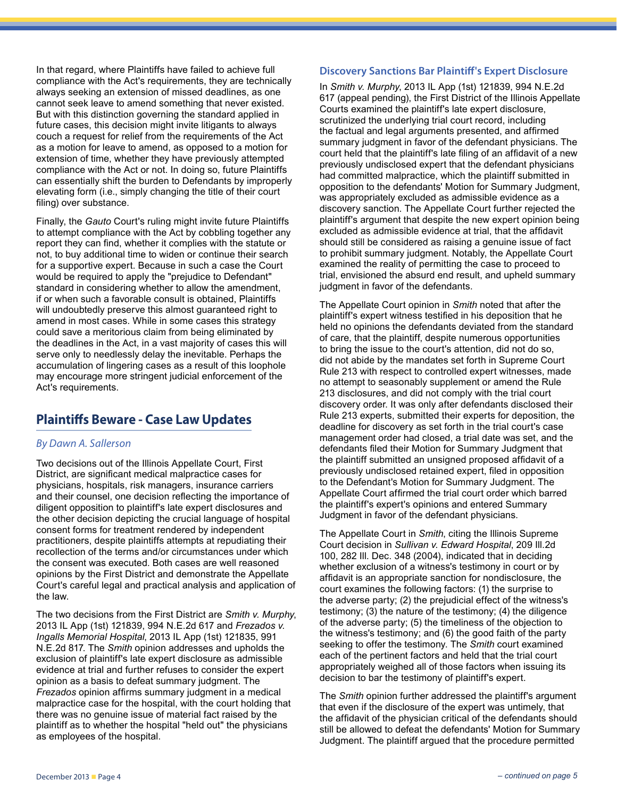In that regard, where Plaintiffs have failed to achieve full compliance with the Act's requirements, they are technically always seeking an extension of missed deadlines, as one cannot seek leave to amend something that never existed. But with this distinction governing the standard applied in future cases, this decision might invite litigants to always couch a request for relief from the requirements of the Act as a motion for leave to amend, as opposed to a motion for extension of time, whether they have previously attempted compliance with the Act or not. In doing so, future Plaintiffs can essentially shift the burden to Defendants by improperly elevating form (i.e., simply changing the title of their court filing) over substance.

Finally, the *Gauto* Court's ruling might invite future Plaintiffs to attempt compliance with the Act by cobbling together any report they can find, whether it complies with the statute or not, to buy additional time to widen or continue their search for a supportive expert. Because in such a case the Court would be required to apply the "prejudice to Defendant" standard in considering whether to allow the amendment, if or when such a favorable consult is obtained, Plaintiffs will undoubtedly preserve this almost guaranteed right to amend in most cases. While in some cases this strategy could save a meritorious claim from being eliminated by the deadlines in the Act, in a vast majority of cases this will serve only to needlessly delay the inevitable. Perhaps the accumulation of lingering cases as a result of this loophole may encourage more stringent judicial enforcement of the Act's requirements.

## **Plaintiffs Beware - Case Law Updates**

#### *By Dawn A. Sallerson*

Two decisions out of the Illinois Appellate Court, First District, are significant medical malpractice cases for physicians, hospitals, risk managers, insurance carriers and their counsel, one decision reflecting the importance of diligent opposition to plaintiff's late expert disclosures and the other decision depicting the crucial language of hospital consent forms for treatment rendered by independent practitioners, despite plaintiffs attempts at repudiating their recollection of the terms and/or circumstances under which the consent was executed. Both cases are well reasoned opinions by the First District and demonstrate the Appellate Court's careful legal and practical analysis and application of the law.

The two decisions from the First District are *Smith v. Murphy*, 2013 IL App (1st) 121839, 994 N.E.2d 617 and *Frezados v. Ingalls Memorial Hospital*, 2013 IL App (1st) 121835, 991 N.E.2d 817. The *Smith* opinion addresses and upholds the exclusion of plaintiff's late expert disclosure as admissible evidence at trial and further refuses to consider the expert opinion as a basis to defeat summary judgment. The *Frezados* opinion affirms summary judgment in a medical malpractice case for the hospital, with the court holding that there was no genuine issue of material fact raised by the plaintiff as to whether the hospital "held out" the physicians as employees of the hospital.

#### **Discovery Sanctions Bar Plaintiff's Expert Disclosure**

In *Smith v. Murphy*, 2013 IL App (1st) 121839, 994 N.E.2d 617 (appeal pending), the First District of the Illinois Appellate Courts examined the plaintiff's late expert disclosure, scrutinized the underlying trial court record, including the factual and legal arguments presented, and affirmed summary judgment in favor of the defendant physicians. The court held that the plaintiff's late filing of an affidavit of a new previously undisclosed expert that the defendant physicians had committed malpractice, which the plaintiff submitted in opposition to the defendants' Motion for Summary Judgment, was appropriately excluded as admissible evidence as a discovery sanction. The Appellate Court further rejected the plaintiff's argument that despite the new expert opinion being excluded as admissible evidence at trial, that the affidavit should still be considered as raising a genuine issue of fact to prohibit summary judgment. Notably, the Appellate Court examined the reality of permitting the case to proceed to trial, envisioned the absurd end result, and upheld summary judgment in favor of the defendants.

The Appellate Court opinion in *Smith* noted that after the plaintiff's expert witness testified in his deposition that he held no opinions the defendants deviated from the standard of care, that the plaintiff, despite numerous opportunities to bring the issue to the court's attention, did not do so, did not abide by the mandates set forth in Supreme Court Rule 213 with respect to controlled expert witnesses, made no attempt to seasonably supplement or amend the Rule 213 disclosures, and did not comply with the trial court discovery order. It was only after defendants disclosed their Rule 213 experts, submitted their experts for deposition, the deadline for discovery as set forth in the trial court's case management order had closed, a trial date was set, and the defendants filed their Motion for Summary Judgment that the plaintiff submitted an unsigned proposed affidavit of a previously undisclosed retained expert, filed in opposition to the Defendant's Motion for Summary Judgment. The Appellate Court affirmed the trial court order which barred the plaintiff's expert's opinions and entered Summary Judgment in favor of the defendant physicians.

The Appellate Court in *Smith*, citing the Illinois Supreme Court decision in *Sullivan v. Edward Hospital*, 209 Ill.2d 100, 282 Ill. Dec. 348 (2004), indicated that in deciding whether exclusion of a witness's testimony in court or by affidavit is an appropriate sanction for nondisclosure, the court examines the following factors: (1) the surprise to the adverse party; (2) the prejudicial effect of the witness's testimony; (3) the nature of the testimony; (4) the diligence of the adverse party; (5) the timeliness of the objection to the witness's testimony; and (6) the good faith of the party seeking to offer the testimony. The *Smith* court examined each of the pertinent factors and held that the trial court appropriately weighed all of those factors when issuing its decision to bar the testimony of plaintiff's expert.

The *Smith* opinion further addressed the plaintiff's argument that even if the disclosure of the expert was untimely, that the affidavit of the physician critical of the defendants should still be allowed to defeat the defendants' Motion for Summary Judgment. The plaintiff argued that the procedure permitted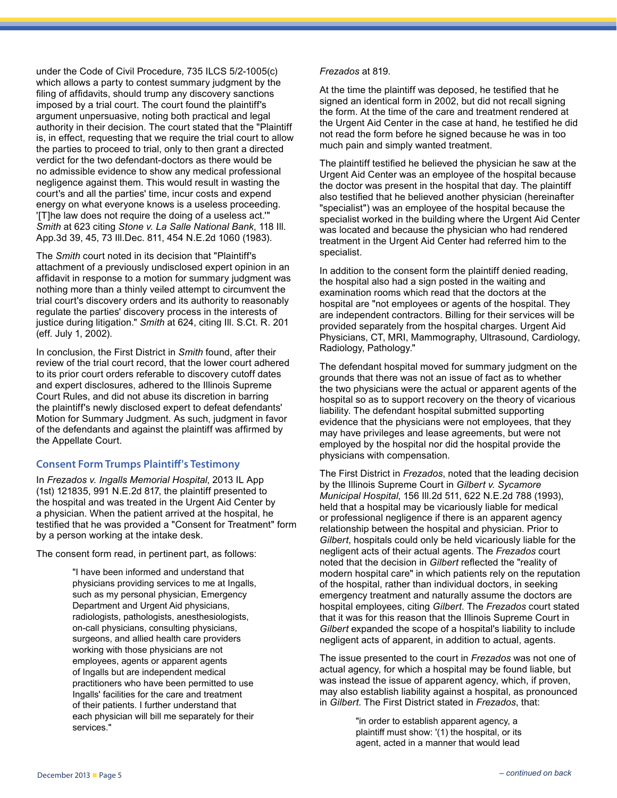under the Code of Civil Procedure, 735 ILCS 5/2-1005(c) which allows a party to contest summary judgment by the filing of affidavits, should trump any discovery sanctions imposed by a trial court. The court found the plaintiff's argument unpersuasive, noting both practical and legal authority in their decision. The court stated that the "Plaintiff is, in effect, requesting that we require the trial court to allow the parties to proceed to trial, only to then grant a directed verdict for the two defendant-doctors as there would be no admissible evidence to show any medical professional negligence against them. This would result in wasting the court's and all the parties' time, incur costs and expend energy on what everyone knows is a useless proceeding. '[T]he law does not require the doing of a useless act.'" *Smith* at 623 citing *Stone v. La Salle National Bank*, 118 Ill. App.3d 39, 45, 73 Ill.Dec. 811, 454 N.E.2d 1060 (1983).

The *Smith* court noted in its decision that "Plaintiff's attachment of a previously undisclosed expert opinion in an affidavit in response to a motion for summary judgment was nothing more than a thinly veiled attempt to circumvent the trial court's discovery orders and its authority to reasonably regulate the parties' discovery process in the interests of justice during litigation." *Smith* at 624, citing Ill. S.Ct. R. 201 (eff. July 1, 2002).

In conclusion, the First District in *Smith* found, after their review of the trial court record, that the lower court adhered to its prior court orders referable to discovery cutoff dates and expert disclosures, adhered to the Illinois Supreme Court Rules, and did not abuse its discretion in barring the plaintiff's newly disclosed expert to defeat defendants' Motion for Summary Judgment. As such, judgment in favor of the defendants and against the plaintiff was affirmed by the Appellate Court.

#### **Consent Form Trumps Plaintiff's Testimony**

In *Frezados v. Ingalls Memorial Hospital*, 2013 IL App (1st) 121835, 991 N.E.2d 817, the plaintiff presented to the hospital and was treated in the Urgent Aid Center by a physician. When the patient arrived at the hospital, he testified that he was provided a "Consent for Treatment" form by a person working at the intake desk.

The consent form read, in pertinent part, as follows:

"I have been informed and understand that physicians providing services to me at Ingalls, such as my personal physician, Emergency Department and Urgent Aid physicians, radiologists, pathologists, anesthesiologists, on-call physicians, consulting physicians, surgeons, and allied health care providers working with those physicians are not employees, agents or apparent agents of Ingalls but are independent medical practitioners who have been permitted to use Ingalls' facilities for the care and treatment of their patients. I further understand that each physician will bill me separately for their services."

#### *Frezados* at 819.

At the time the plaintiff was deposed, he testified that he signed an identical form in 2002, but did not recall signing the form. At the time of the care and treatment rendered at the Urgent Aid Center in the case at hand, he testified he did not read the form before he signed because he was in too much pain and simply wanted treatment.

The plaintiff testified he believed the physician he saw at the Urgent Aid Center was an employee of the hospital because the doctor was present in the hospital that day. The plaintiff also testified that he believed another physician (hereinafter "specialist") was an employee of the hospital because the specialist worked in the building where the Urgent Aid Center was located and because the physician who had rendered treatment in the Urgent Aid Center had referred him to the specialist.

In addition to the consent form the plaintiff denied reading, the hospital also had a sign posted in the waiting and examination rooms which read that the doctors at the hospital are "not employees or agents of the hospital. They are independent contractors. Billing for their services will be provided separately from the hospital charges. Urgent Aid Physicians, CT, MRI, Mammography, Ultrasound, Cardiology, Radiology, Pathology."

The defendant hospital moved for summary judgment on the grounds that there was not an issue of fact as to whether the two physicians were the actual or apparent agents of the hospital so as to support recovery on the theory of vicarious liability. The defendant hospital submitted supporting evidence that the physicians were not employees, that they may have privileges and lease agreements, but were not employed by the hospital nor did the hospital provide the physicians with compensation.

The First District in *Frezados*, noted that the leading decision by the Illinois Supreme Court in *Gilbert v. Sycamore Municipal Hospital*, 156 Ill.2d 511, 622 N.E.2d 788 (1993), held that a hospital may be vicariously liable for medical or professional negligence if there is an apparent agency relationship between the hospital and physician. Prior to *Gilbert*, hospitals could only be held vicariously liable for the negligent acts of their actual agents. The *Frezados* court noted that the decision in *Gilbert* reflected the "reality of modern hospital care" in which patients rely on the reputation of the hospital, rather than individual doctors, in seeking emergency treatment and naturally assume the doctors are hospital employees, citing *Gilbert*. The *Frezados* court stated that it was for this reason that the Illinois Supreme Court in *Gilbert* expanded the scope of a hospital's liability to include negligent acts of apparent, in addition to actual, agents.

The issue presented to the court in *Frezados* was not one of actual agency, for which a hospital may be found liable, but was instead the issue of apparent agency, which, if proven, may also establish liability against a hospital, as pronounced in *Gilbert*. The First District stated in *Frezados*, that:

> "in order to establish apparent agency, a plaintiff must show: '(1) the hospital, or its agent, acted in a manner that would lead